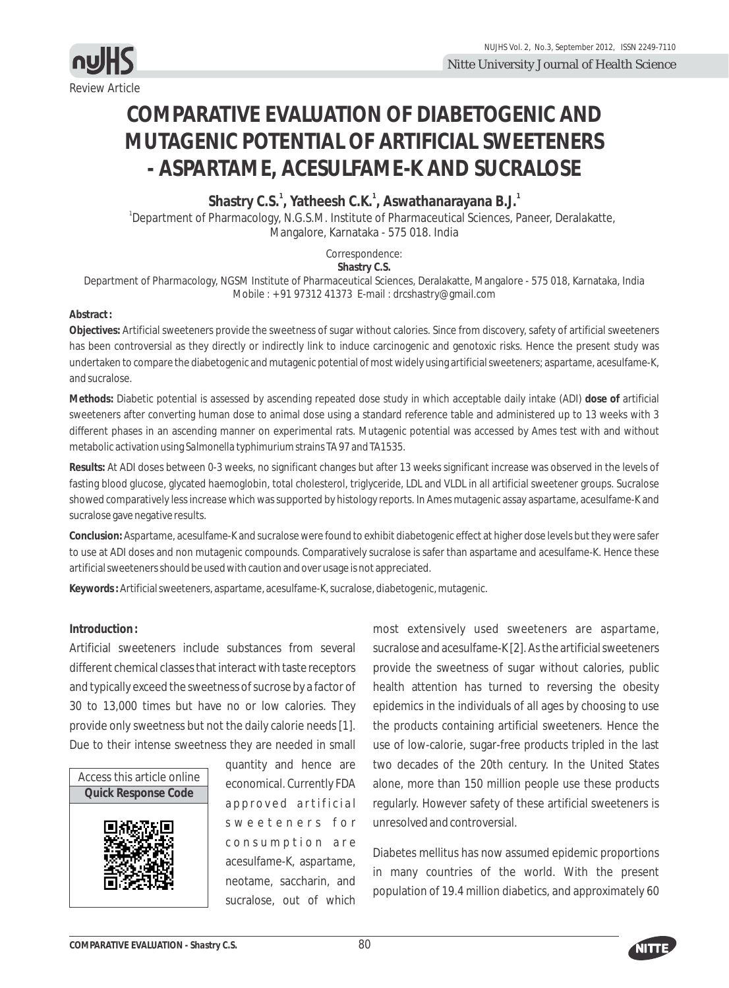

# **COMPARATIVE EVALUATION OF DIABETOGENIC AND MUTAGENIC POTENTIAL OF ARTIFICIAL SWEETENERS - ASPARTAME, ACESULFAME-K AND SUCRALOSE**

**1 1 1 Shastry C.S. , Yatheesh C.K. , Aswathanarayana B.J.** <sup>1</sup>Department of Pharmacology, N.G.S.M. Institute of Pharmaceutical Sciences, Paneer, Deralakatte, Mangalore, Karnataka - 575 018. India

Correspondence:

**Shastry C.S.**

Department of Pharmacology, NGSM Institute of Pharmaceutical Sciences, Deralakatte, Mangalore - 575 018, Karnataka, India Mobile : + 91 97312 41373 E-mail : drcshastry@gmail.com

#### **Abstract :**

**Objectives:** Artificial sweeteners provide the sweetness of sugar without calories. Since from discovery, safety of artificial sweeteners has been controversial as they directly or indirectly link to induce carcinogenic and genotoxic risks. Hence the present study was undertaken to compare the diabetogenic and mutagenic potential of most widely using artificial sweeteners; aspartame, acesulfame-K, and sucralose.

**Methods:** Diabetic potential is assessed by ascending repeated dose study in which acceptable daily intake (ADI) **dose of** artificial sweeteners after converting human dose to animal dose using a standard reference table and administered up to 13 weeks with 3 different phases in an ascending manner on experimental rats. Mutagenic potential was accessed by Ames test with and without metabolic activation using *Salmonella typhimurium*strains TA 97 and TA1535.

**Results:** At ADI doses between 0-3 weeks, no significant changes but after 13 weeks significant increase was observed in the levels of fasting blood glucose, glycated haemoglobin, total cholesterol, triglyceride, LDL and VLDL in all artificial sweetener groups. Sucralose showed comparatively less increase which was supported by histology reports. In Ames mutagenic assay aspartame, acesulfame-K and sucralose gave negative results.

**Conclusion:** Aspartame, acesulfame-K and sucralose were found to exhibit diabetogenic effect at higher dose levels but they were safer to use at ADI doses and non mutagenic compounds. Comparatively sucralose is safer than aspartame and acesulfame-K. Hence these artificial sweeteners should be used with caution and over usage is not appreciated.

**Keywords :**Artificial sweeteners, aspartame, acesulfame-K, sucralose, diabetogenic, mutagenic.

#### **Introduction :**

Artificial sweeteners include substances from several different chemical classes that interact with taste receptors and typically exceed the sweetness of sucrose by a factor of 30 to 13,000 times but have no or low calories. They provide only sweetness but not the daily calorie needs [1]. Due to their intense sweetness they are needed in small



quantity and hence are economical. Currently FDA approved artificial sweeteners for consumption are acesulfame-K, aspartame, neotame, saccharin, and sucralose, out of which

most extensively used sweeteners are aspartame, sucralose and acesulfame-K [2]. As the artificial sweeteners provide the sweetness of sugar without calories, public health attention has turned to reversing the obesity epidemics in the individuals of all ages by choosing to use the products containing artificial sweeteners. Hence the use of low-calorie, sugar-free products tripled in the last two decades of the 20th century. In the United States alone, more than 150 million people use these products regularly. However safety of these artificial sweeteners is unresolved and controversial.

Diabetes mellitus has now assumed epidemic proportions in many countries of the world. With the present population of 19.4 million diabetics, and approximately 60

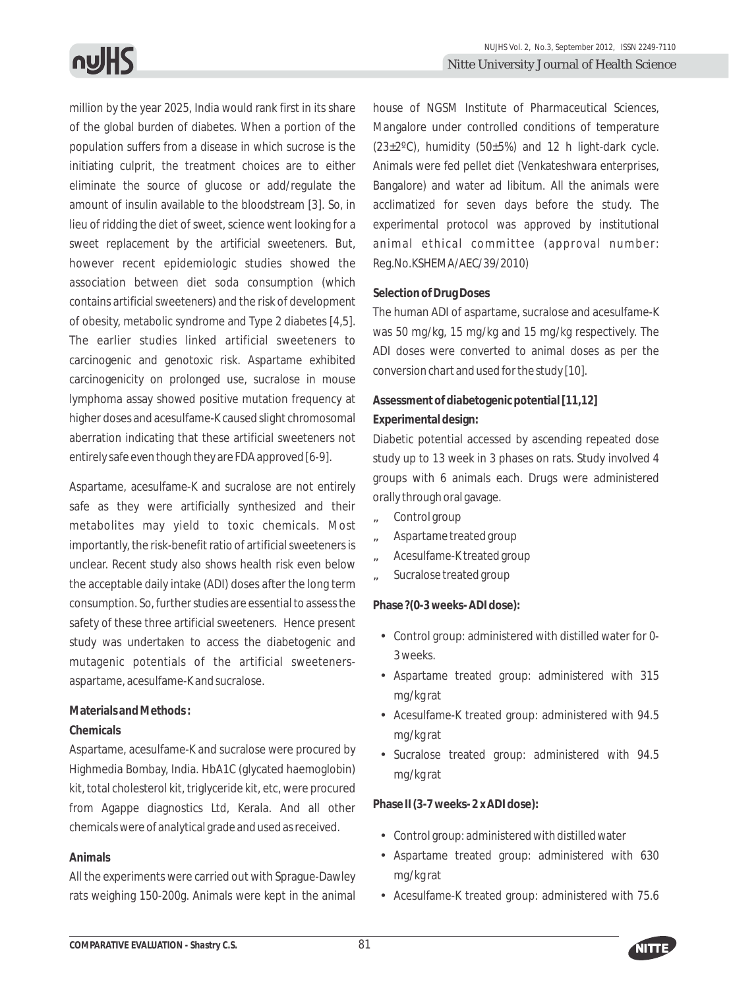million by the year 2025, India would rank first in its share of the global burden of diabetes. When a portion of the population suffers from a disease in which sucrose is the initiating culprit, the treatment choices are to either eliminate the source of glucose or add/regulate the amount of insulin available to the bloodstream [3]. So, in lieu of ridding the diet of sweet, science went looking for a sweet replacement by the artificial sweeteners. But, however recent epidemiologic studies showed the association between diet soda consumption (which contains artificial sweeteners) and the risk of development of obesity, metabolic syndrome and Type 2 diabetes [4,5]. The earlier studies linked artificial sweeteners to carcinogenic and genotoxic risk. Aspartame exhibited carcinogenicity on prolonged use, sucralose in mouse lymphoma assay showed positive mutation frequency at higher doses and acesulfame-K caused slight chromosomal aberration indicating that these artificial sweeteners not entirely safe even though they are FDA approved [6-9].

Aspartame, acesulfame-K and sucralose are not entirely safe as they were artificially synthesized and their metabolites may yield to toxic chemicals. Most importantly, the risk-benefit ratio of artificial sweeteners is unclear. Recent study also shows health risk even below the acceptable daily intake (ADI) doses after the long term consumption. So, further studies are essential to assess the safety of these three artificial sweeteners. Hence present study was undertaken to access the diabetogenic and mutagenic potentials of the artificial sweetenersaspartame, acesulfame-K and sucralose.

# **Materials and Methods :**

#### **Chemicals**

Aspartame, acesulfame-K and sucralose were procured by Highmedia Bombay, India. HbA1C (glycated haemoglobin) kit, total cholesterol kit, triglyceride kit, etc, were procured from Agappe diagnostics Ltd, Kerala. And all other chemicals were of analytical grade and used as received.

# **Animals**

All the experiments were carried out with Sprague-Dawley rats weighing 150-200g. Animals were kept in the animal house of NGSM Institute of Pharmaceutical Sciences, Mangalore under controlled conditions of temperature  $(23\pm2\degree C)$ , humidity (50 $\pm5\%$ ) and 12 h light-dark cycle. Animals were fed pellet diet (Venkateshwara enterprises, Bangalore) and water ad libitum. All the animals were acclimatized for seven days before the study. The experimental protocol was approved by institutional animal ethical committee (approval number: Reg.No.KSHEMA/AEC/39/2010)

#### **Selection of Drug Doses**

The human ADI of aspartame, sucralose and acesulfame-K was 50 mg/kg, 15 mg/kg and 15 mg/kg respectively. The ADI doses were converted to animal doses as per the conversion chart and used for the study [10].

# **Assessment of diabetogenic potential [11,12] Experimental design:**

Diabetic potential accessed by ascending repeated dose study up to 13 week in 3 phases on rats. Study involved 4 groups with 6 animals each. Drugs were administered orally through oral gavage.

- ã Control group
- ã Aspartame treated group
- ã Acesulfame-K treated group
- ã Sucralose treated group

**Phase ?(0-3 weeks- ADI dose):** 

- Control group: administered with distilled water for 0- 3 weeks.
- Aspartame treated group: administered with 315 mg/kg rat
- Acesulfame-K treated group: administered with 94.5 mg/kg rat
- Sucralose treated group: administered with 94.5 mg/kg rat

Phase (3-7 weeks- 2 x ADI dose):

- Control group: administered with distilled water
- Aspartame treated group: administered with 630 mg/kg rat
- Acesulfame-K treated group: administered with 75.6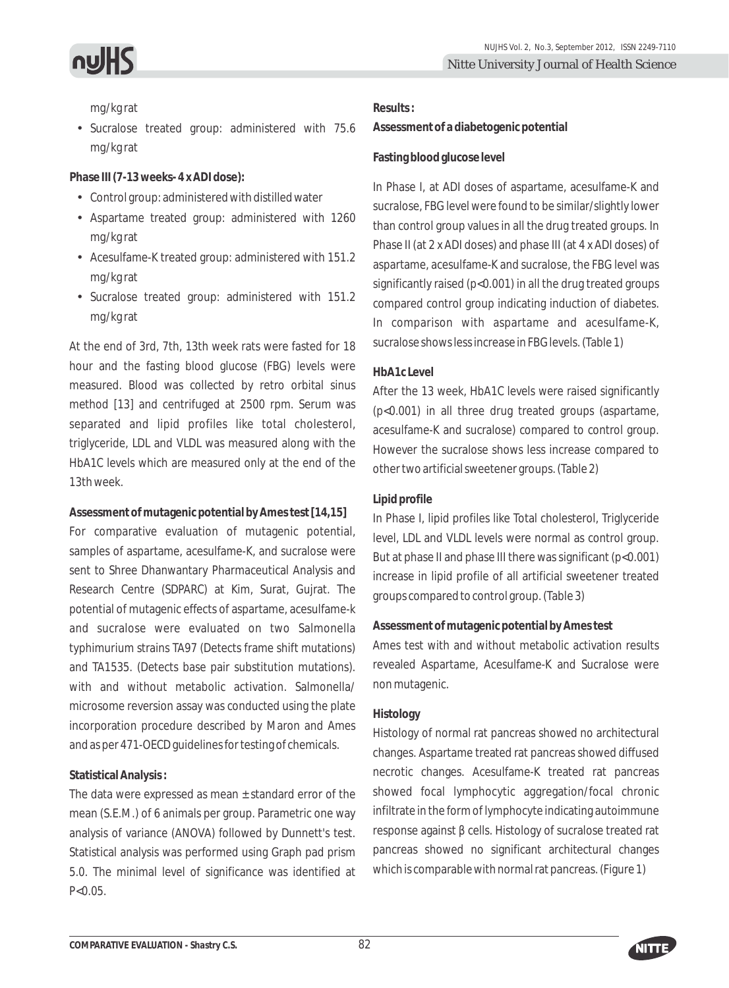

mg/kg rat

• Sucralose treated group: administered with 75.6 mg/kg rat

Phase (7-13 weeks- 4 x ADI dose):

- Control group: administered with distilled water
- Aspartame treated group: administered with 1260 mg/kg rat
- Acesulfame-K treated group: administered with 151.2 mg/kg rat
- Sucralose treated group: administered with 151.2 mg/kg rat

At the end of 3rd, 7th, 13th week rats were fasted for 18 hour and the fasting blood glucose (FBG) levels were measured. Blood was collected by retro orbital sinus method [13] and centrifuged at 2500 rpm. Serum was separated and lipid profiles like total cholesterol, triglyceride, LDL and VLDL was measured along with the HbA1C levels which are measured only at the end of the 13th week.

**Assessment of mutagenic potential by Ames test [14,15]**

For comparative evaluation of mutagenic potential, samples of aspartame, acesulfame-K, and sucralose were sent to Shree Dhanwantary Pharmaceutical Analysis and Research Centre (SDPARC) at Kim, Surat, Gujrat. The potential of mutagenic effects of aspartame, acesulfame-k and sucralose were evaluated on two Salmonella typhimurium strains TA97 (Detects frame shift mutations) and TA1535. (Detects base pair substitution mutations). with and without metabolic activation. Salmonella/ microsome reversion assay was conducted using the plate incorporation procedure described by Maron and Ames and as per 471-OECD guidelines for testing of chemicals.

# **Statistical Analysis :**

The data were expressed as mean  $\pm$  standard error of the mean (S.E.M.) of 6 animals per group. Parametric one way analysis of variance (ANOVA) followed by Dunnett's test. Statistical analysis was performed using Graph pad prism 5.0. The minimal level of significance was identified at  $P < 0.05$ 

**Results :**

**Assessment of a diabetogenic potential**

#### **Fasting blood glucose level**

In Phase I, at ADI doses of aspartame, acesulfame-K and sucralose, FBG level were found to be similar/slightly lower than control group values in all the drug treated groups. In Phase II (at 2 x ADI doses) and phase III (at 4 x ADI doses) of aspartame, acesulfame-K and sucralose, the FBG level was significantly raised (p<0.001) in all the drug treated groups compared control group indicating induction of diabetes. In comparison with aspartame and acesulfame-K, sucralose shows less increase in FBG levels. (Table 1)

# **HbA1c Level**

After the 13 week, HbA1C levels were raised significantly (p<0.001) in all three drug treated groups (aspartame, acesulfame-K and sucralose) compared to control group. However the sucralose shows less increase compared to other two artificial sweetener groups. (Table 2)

# **Lipid profile**

In Phase I, lipid profiles like Total cholesterol, Triglyceride level, LDL and VLDL levels were normal as control group. But at phase II and phase III there was significant (p<0.001) increase in lipid profile of all artificial sweetener treated groups compared to control group. (Table 3)

# **Assessment of mutagenic potential by Ames test**

Ames test with and without metabolic activation results revealed Aspartame, Acesulfame-K and Sucralose were non mutagenic.

# **Histology**

Histology of normal rat pancreas showed no architectural changes. Aspartame treated rat pancreas showed diffused necrotic changes. Acesulfame-K treated rat pancreas showed focal lymphocytic aggregation/focal chronic infiltrate in the form of lymphocyte indicating autoimmune response against cells. Histology of sucralose treated rat pancreas showed no significant architectural changes which is comparable with normal rat pancreas. (Figure 1)

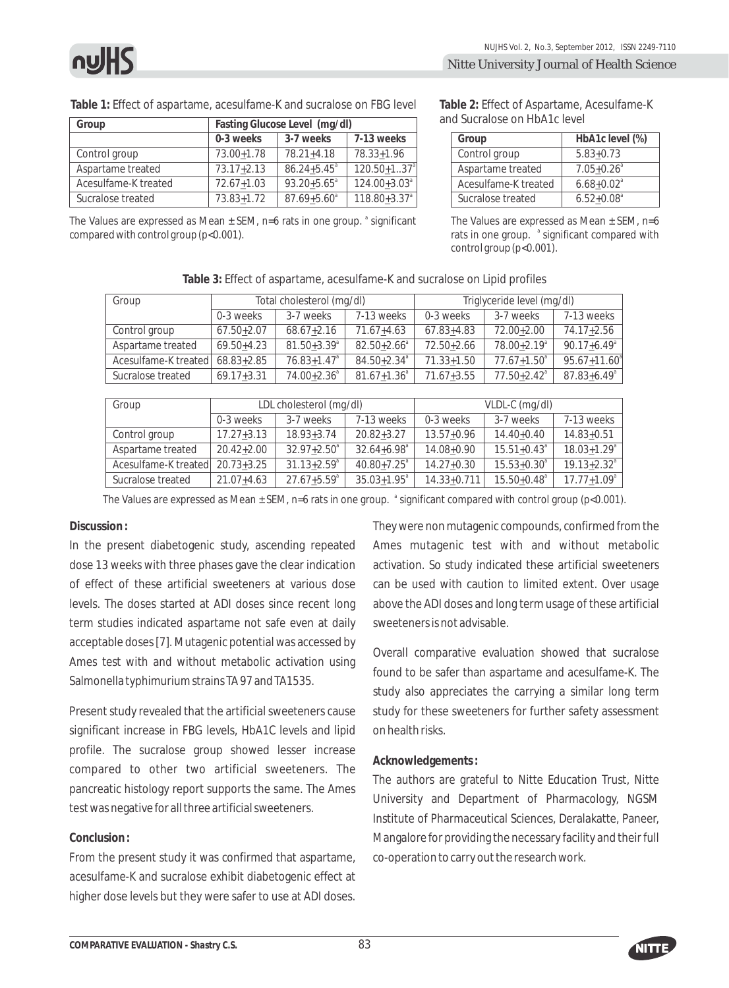**Table 1:** Effect of aspartame, acesulfame-K and sucralose on FBG level

| Group                | Fasting Glucose Level (mg/dl) |                        |                   |  |
|----------------------|-------------------------------|------------------------|-------------------|--|
|                      | 0-3 weeks                     | 3-7 weeks              | 7-13 weeks        |  |
| Control group        | 73.00+1.78                    | $78.21 + 4.18$         | 78.33+1.96        |  |
| Aspartame treated    | $73.17 + 2.13$                | $86.24 + 5.45^{\circ}$ | $120.50 + 1.37^a$ |  |
| Acesulfame-K treated | $72.67 + 1.03$                | $93.20 + 5.65^{\circ}$ | $124.00 + 3.03^a$ |  |
| Sucralose treated    | $73.83 + 1.72$                | $87.69 + 5.60^{\circ}$ | $118.80 + 3.37^a$ |  |

**Table 2:** Effect of Aspartame, Acesulfame-K and Sucralose on HbA1c level

| Group                | HbA1c level (%)            |
|----------------------|----------------------------|
| Control group        | $5.83 + 0.73$              |
| Aspartame treated    | $7.05 + 0.26$ <sup>a</sup> |
| Acesulfame-K treated | $6.68 + 0.02^a$            |
| Sucralose treated    | $6.52 + 0.08$ <sup>a</sup> |

The Values are expressed as Mean ± SEM, n=6 rats in one group. <sup>a</sup> significant compared with control group (p<0.001).

The Values are expressed as Mean  $\pm$  SEM, n=6 rats in one group. <sup>a</sup> significant compared with control group (p<0.001).

| Group                           | Total cholesterol (mg/dl) |                             | Triglyceride level (mg/dl)  |                |                         |                              |
|---------------------------------|---------------------------|-----------------------------|-----------------------------|----------------|-------------------------|------------------------------|
|                                 | 0-3 weeks                 | 3-7 weeks                   | 7-13 weeks                  | 0-3 weeks      | 3-7 weeks               | 7-13 weeks                   |
| Control group                   | 67.50+2.07                | $68.67 + 2.16$              | $71.67 + 4.63$              | $67.83 + 4.83$ | 72.00+2.00              | $74.17 + 2.56$               |
| Aspartame treated               | 69.50+4.23                | $81.50 + 3.39$ <sup>a</sup> | $82.50 + 2.66^{\circ}$      | $72.50 + 2.66$ | 78.00+2.19 <sup>a</sup> | $90.17 + 6.49$ <sup>a</sup>  |
| Acesulfame-K treated 68.83+2.85 |                           | $76.83 + 1.47$ <sup>a</sup> | $84.50 + 2.34$ <sup>a</sup> | $71.33 + 1.50$ | $77.67 + 1.50^{\circ}$  | $95.67 + 11.60$ <sup>a</sup> |
| Sucralose treated               | $69.17 + 3.31$            | $74.00 + 2.36$ <sup>a</sup> | $81.67 + 1.36^{\circ}$      | $71.67 + 3.55$ | $77.50 + 2.42^a$        | $87.83 + 6.49$ <sup>a</sup>  |

**Table 3:** Effect of aspartame, acesulfame-K and sucralose on Lipid profiles

| Group                           | LDL cholesterol (mg/dl) |                             | VLDL-C (mg/dl)              |                 |                             |                             |
|---------------------------------|-------------------------|-----------------------------|-----------------------------|-----------------|-----------------------------|-----------------------------|
|                                 | 0-3 weeks               | 3-7 weeks                   | 7-13 weeks                  | 0-3 weeks       | 3-7 weeks                   | 7-13 weeks                  |
| Control group                   | $17.27 + 3.13$          | $18.93 + 3.74$              | $20.82 + 3.27$              | $13.57 + 0.96$  | $14.40 + 0.40$              | $14.83 + 0.51$              |
| Aspartame treated               | $20.42 + 2.00$          | $32.97 + 2.50^{\circ}$      | $32.64 + 6.98$ <sup>a</sup> | $14.08 + 0.90$  | $15.51 + 0.43^{\circ}$      | $18.03 + 1.29$ <sup>a</sup> |
| Acesulfame-K treated 20.73+3.25 |                         | $31.13 + 2.59$ <sup>a</sup> | $40.80 + 7.25$ <sup>a</sup> | $14.27 + 0.30$  | $15.53 + 0.30^{\circ}$      | $19.13 + 2.32^a$            |
| Sucralose treated               | $21.07 + 4.63$          | $27.67 + 5.59$ <sup>a</sup> | $35.03 + 1.95^{\circ}$      | $14.33 + 0.711$ | $15.50 + 0.48$ <sup>a</sup> | $17.77 + 1.09^a$            |

The Values are expressed as Mean ± SEM, n=6 rats in one group.  $\degree$  significant compared with control group (p<0.001).

#### **Discussion :**

In the present diabetogenic study, ascending repeated dose 13 weeks with three phases gave the clear indication of effect of these artificial sweeteners at various dose levels. The doses started at ADI doses since recent long term studies indicated aspartame not safe even at daily acceptable doses [7]. Mutagenic potential was accessed by Ames test with and without metabolic activation using Salmonella typhimurium strains TA 97 and TA1535.

Present study revealed that the artificial sweeteners cause significant increase in FBG levels, HbA1C levels and lipid profile. The sucralose group showed lesser increase compared to other two artificial sweeteners. The pancreatic histology report supports the same. The Ames test was negative for all three artificial sweeteners.

#### **Conclusion :**

From the present study it was confirmed that aspartame, acesulfame-K and sucralose exhibit diabetogenic effect at higher dose levels but they were safer to use at ADI doses.

They were non mutagenic compounds, confirmed from the Ames mutagenic test with and without metabolic activation. So study indicated these artificial sweeteners can be used with caution to limited extent. Over usage above the ADI doses and long term usage of these artificial sweeteners is not advisable.

Overall comparative evaluation showed that sucralose found to be safer than aspartame and acesulfame-K. The study also appreciates the carrying a similar long term study for these sweeteners for further safety assessment on health risks.

#### **Acknowledgements :**

The authors are grateful to Nitte Education Trust, Nitte University and Department of Pharmacology, NGSM Institute of Pharmaceutical Sciences, Deralakatte, Paneer, Mangalore for providing the necessary facility and their full co-operation to carry out the research work.